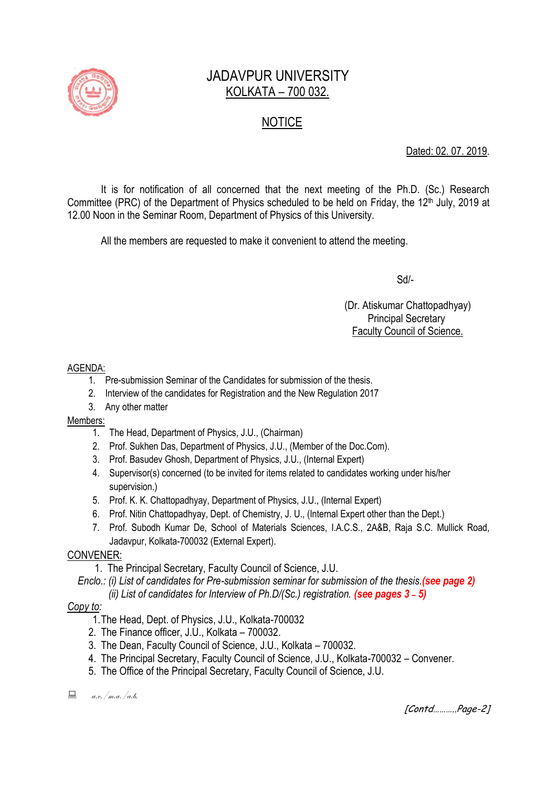

# JADAVPUR UNIVERSITY KOLKATA – 700 032.

# **NOTICE**

Dated: 02. 07. 2019.

It is for notification of all concerned that the next meeting of the Ph.D. (Sc.) Research Committee (PRC) of the Department of Physics scheduled to be held on Friday, the 12<sup>th</sup> July, 2019 at 12.00 Noon in the Seminar Room, Department of Physics of this University.

All the members are requested to make it convenient to attend the meeting.

Sd/-

 (Dr. Atiskumar Chattopadhyay) Principal Secretary Faculty Council of Science.

AGENDA:

- 1. Pre-submission Seminar of the Candidates for submission of the thesis.
- 2. Interview of the candidates for Registration and the New Regulation 2017
- 3. Any other matter

Members:

- 1. The Head, Department of Physics, J.U., (Chairman)
- 2. Prof. Sukhen Das, Department of Physics, J.U., (Member of the Doc.Com).
- 3. Prof. Basudev Ghosh, Department of Physics, J.U., (Internal Expert)
- 4. Supervisor(s) concerned (to be invited for items related to candidates working under his/her supervision.)
- 5. Prof. K. K. Chattopadhyay, Department of Physics, J.U., (Internal Expert)
- 6. Prof. Nitin Chattopadhyay, Dept. of Chemistry, J. U., (Internal Expert other than the Dept.)
- 7. Prof. Subodh Kumar De, School of Materials Sciences, I.A.C.S., 2A&B, Raja S.C. Mullick Road, Jadavpur, Kolkata-700032 (External Expert).

## CONVENER:

1. The Principal Secretary, Faculty Council of Science, J.U.

 *Enclo.: (i) List of candidates for Pre-submission seminar for submission of the thesis.(see page 2) (ii) List of candidates for Interview of Ph.D/(Sc.) registration. (see pages 3 ˗ 5)*

### *Copy to:*

- 1.The Head, Dept. of Physics, J.U., Kolkata-700032
- 2. The Finance officer, J.U., Kolkata 700032.
- 3. The Dean, Faculty Council of Science, J.U., Kolkata 700032.
- 4. The Principal Secretary, Faculty Council of Science, J.U., Kolkata-700032 Convener.
- 5. The Office of the Principal Secretary, Faculty Council of Science, J.U.

 $\Box$  a.e. /m.a. /a.b.

[Contd………..Page-2]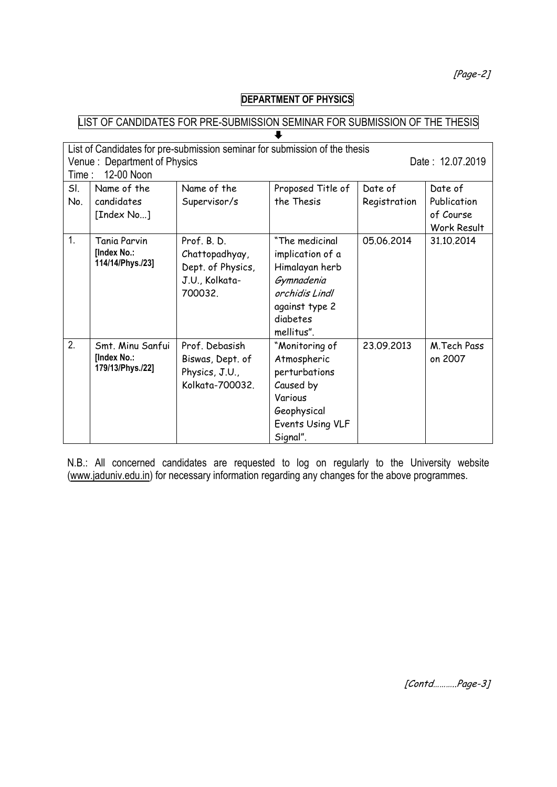[Page-2]

# **DEPARTMENT OF PHYSICS**

#### LIST OF CANDIDATES FOR PRE-SUBMISSION SEMINAR FOR SUBMISSION OF THE THESIS  $\overline{\mathbf{I}}$

|                  | List of Candidates for pre-submission seminar for submission of the thesis<br>Venue: Department of Physics<br>Date: 12.07.2019<br>12-00 Noon<br>Time: |                   |                   |              |             |
|------------------|-------------------------------------------------------------------------------------------------------------------------------------------------------|-------------------|-------------------|--------------|-------------|
| SI.              | Name of the                                                                                                                                           | Name of the       | Proposed Title of | Date of      | Date of     |
| No.              | candidates                                                                                                                                            | Supervisor/s      | the Thesis        | Registration | Publication |
|                  | [Index No]                                                                                                                                            |                   |                   |              | of Course   |
|                  |                                                                                                                                                       |                   |                   |              | Work Result |
| $\overline{1}$ . | Tania Parvin                                                                                                                                          | Prof. B.D.        | "The medicinal    | 05.06.2014   | 31.10.2014  |
|                  | [Index No.:<br>114/14/Phys./23]                                                                                                                       | Chattopadhyay,    | implication of a  |              |             |
|                  |                                                                                                                                                       | Dept. of Physics, | Himalayan herb    |              |             |
|                  |                                                                                                                                                       | J.U., Kolkata-    | Gymnadenia        |              |             |
|                  |                                                                                                                                                       | 700032.           | orchidis Lindl    |              |             |
|                  |                                                                                                                                                       |                   | against type 2    |              |             |
|                  |                                                                                                                                                       |                   | diabetes          |              |             |
|                  |                                                                                                                                                       |                   | mellitus".        |              |             |
| 2.               | Smt. Minu Sanfui                                                                                                                                      | Prof. Debasish    | "Monitoring of    | 23.09.2013   | M.Tech Pass |
|                  | [Index No.:                                                                                                                                           | Biswas, Dept. of  | Atmospheric       |              | on 2007     |
|                  | 179/13/Phys./22]                                                                                                                                      | Physics, J.U.,    | perturbations     |              |             |
|                  |                                                                                                                                                       | Kolkata-700032.   | Caused by         |              |             |
|                  |                                                                                                                                                       |                   | Various           |              |             |
|                  |                                                                                                                                                       |                   | Geophysical       |              |             |
|                  |                                                                                                                                                       |                   | Events Using VLF  |              |             |
|                  |                                                                                                                                                       |                   | Signal".          |              |             |

N.B.: All concerned candidates are requested to log on regularly to the University website [\(www.jaduniv.edu.in\)](http://www.jaduniv.edu.in/) for necessary information regarding any changes for the above programmes.

[Contd………..Page-3]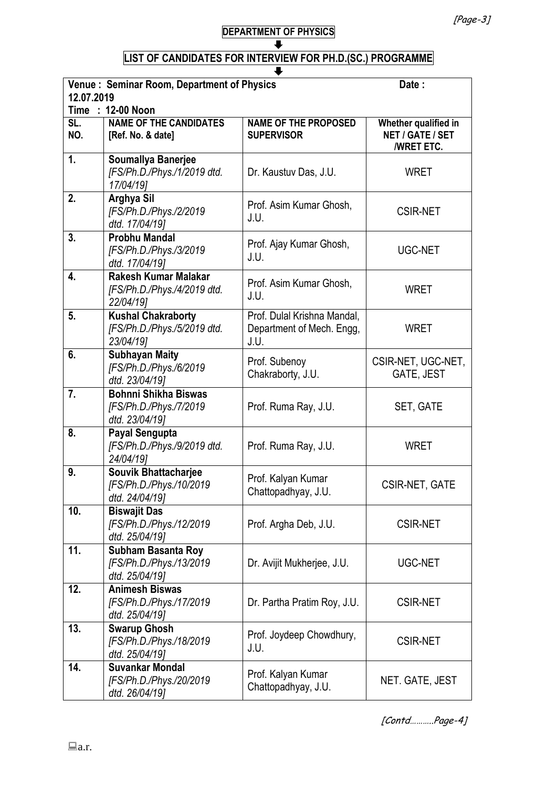#### **DEPARTMENT OF PHYSICS**  $\ddot{\phantom{a}}$

## **LIST OF CANDIDATES FOR INTERVIEW FOR PH.D.(SC.) PROGRAMME**

| Venue: Seminar Room, Department of Physics<br>Date:<br>12.07.2019 |                                                                          |                                                                  |                                                               |  |
|-------------------------------------------------------------------|--------------------------------------------------------------------------|------------------------------------------------------------------|---------------------------------------------------------------|--|
|                                                                   | Time : 12-00 Noon                                                        |                                                                  |                                                               |  |
| SL.<br>NO.                                                        | <b>NAME OF THE CANDIDATES</b><br>[Ref. No. & date]                       | <b>NAME OF THE PROPOSED</b><br><b>SUPERVISOR</b>                 | Whether qualified in<br>NET / GATE / SET<br><b>/WRET ETC.</b> |  |
| 1.                                                                | <b>Soumallya Banerjee</b><br>[FS/Ph.D./Phys./1/2019 dtd.<br>17/04/19]    | Dr. Kaustuv Das, J.U.                                            | <b>WRET</b>                                                   |  |
| 2.                                                                | Arghya Sil<br>[FS/Ph.D./Phys./2/2019<br>dtd. 17/04/19]                   | Prof. Asim Kumar Ghosh,<br>J.U.                                  | <b>CSIR-NET</b>                                               |  |
| 3.                                                                | <b>Probhu Mandal</b><br>[FS/Ph.D./Phys./3/2019<br>dtd. 17/04/19]         | Prof. Ajay Kumar Ghosh,<br>J.U.                                  | UGC-NET                                                       |  |
| 4.                                                                | <b>Rakesh Kumar Malakar</b><br>[FS/Ph.D./Phys./4/2019 dtd.<br>22/04/19]  | Prof. Asim Kumar Ghosh,<br>J.U.                                  | <b>WRET</b>                                                   |  |
| 5 <sub>1</sub>                                                    | <b>Kushal Chakraborty</b><br>[FS/Ph.D./Phys./5/2019 dtd.<br>23/04/19]    | Prof. Dulal Krishna Mandal,<br>Department of Mech. Engg,<br>J.U. | <b>WRET</b>                                                   |  |
| 6.                                                                | <b>Subhayan Maity</b><br>[FS/Ph.D./Phys./6/2019<br>dtd. 23/04/19]        | Prof. Subenoy<br>Chakraborty, J.U.                               | CSIR-NET, UGC-NET,<br>GATE, JEST                              |  |
| 7.                                                                | <b>Bohnni Shikha Biswas</b><br>[FS/Ph.D./Phys./7/2019<br>dtd. 23/04/19]  | Prof. Ruma Ray, J.U.                                             | SET, GATE                                                     |  |
| 8.                                                                | Payal Sengupta<br>[FS/Ph.D./Phys./9/2019 dtd.<br>24/04/19]               | Prof. Ruma Ray, J.U.                                             | <b>WRET</b>                                                   |  |
| 9.                                                                | <b>Souvik Bhattacharjee</b><br>[FS/Ph.D./Phys./10/2019<br>dtd. 24/04/19] | Prof. Kalyan Kumar<br>Chattopadhyay, J.U.                        | <b>CSIR-NET, GATE</b>                                         |  |
| 10.                                                               | <b>Biswajit Das</b><br>[FS/Ph.D./Phys./12/2019<br>dtd. 25/04/19]         | Prof. Argha Deb, J.U.                                            | <b>CSIR-NET</b>                                               |  |
| 11.                                                               | <b>Subham Basanta Roy</b><br>[FS/Ph.D./Phys./13/2019<br>dtd. 25/04/19]   | Dr. Avijit Mukherjee, J.U.                                       | UGC-NET                                                       |  |
| 12.                                                               | <b>Animesh Biswas</b><br>[FS/Ph.D./Phys./17/2019<br>dtd. 25/04/19]       | Dr. Partha Pratim Roy, J.U.                                      | <b>CSIR-NET</b>                                               |  |
| 13.                                                               | <b>Swarup Ghosh</b><br>[FS/Ph.D./Phys./18/2019<br>dtd. 25/04/19]         | Prof. Joydeep Chowdhury,<br>J.U.                                 | <b>CSIR-NET</b>                                               |  |
| 14.                                                               | <b>Suvankar Mondal</b><br>[FS/Ph.D./Phys./20/2019<br>dtd. 26/04/19]      | Prof. Kalyan Kumar<br>Chattopadhyay, J.U.                        | NET. GATE, JEST                                               |  |

[Contd………..Page-4]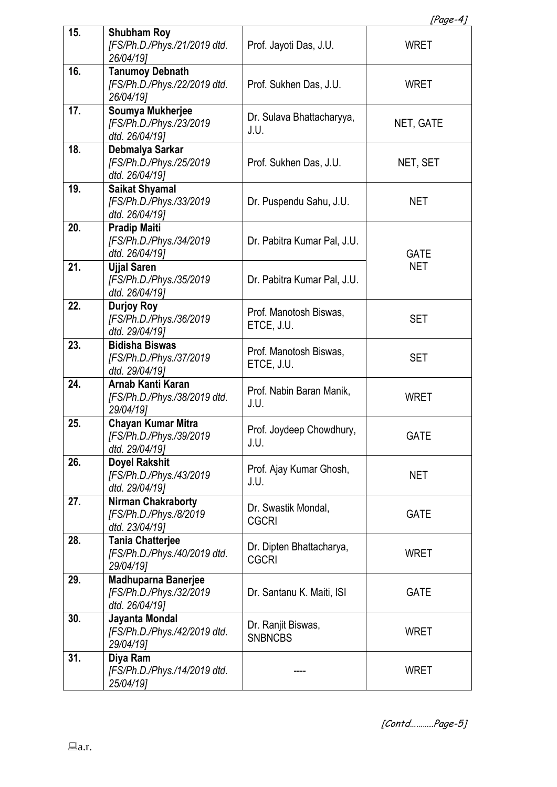| Paae |  |
|------|--|
|      |  |

|     |                                                                       |                                          | [ruye-4]                  |  |
|-----|-----------------------------------------------------------------------|------------------------------------------|---------------------------|--|
| 15. | <b>Shubham Roy</b><br>[FS/Ph.D./Phys./21/2019 dtd.<br>26/04/19]       | Prof. Jayoti Das, J.U.                   | <b>WRET</b>               |  |
| 16. | <b>Tanumoy Debnath</b><br>[FS/Ph.D./Phys./22/2019 dtd.<br>26/04/19]   | Prof. Sukhen Das, J.U.                   | <b>WRET</b>               |  |
| 17. | Soumya Mukherjee<br>[FS/Ph.D./Phys./23/2019<br>dtd. 26/04/19]         | Dr. Sulava Bhattacharyya,<br>J.U.        | NET, GATE                 |  |
| 18. | Debmalya Sarkar<br>[FS/Ph.D./Phys./25/2019<br>dtd. 26/04/19]          | Prof. Sukhen Das, J.U.                   | NET, SET                  |  |
| 19. | <b>Saikat Shyamal</b><br>[FS/Ph.D./Phys./33/2019<br>dtd. 26/04/19]    | Dr. Puspendu Sahu, J.U.                  | <b>NET</b>                |  |
| 20. | <b>Pradip Maiti</b><br>[FS/Ph.D./Phys./34/2019<br>dtd. 26/04/19]      | Dr. Pabitra Kumar Pal, J.U.              | <b>GATE</b><br><b>NET</b> |  |
| 21. | <b>Ujjal Saren</b><br>[FS/Ph.D./Phys./35/2019<br>dtd. 26/04/19]       | Dr. Pabitra Kumar Pal, J.U.              |                           |  |
| 22. | <b>Durjoy Roy</b><br>[FS/Ph.D./Phys./36/2019<br>dtd. 29/04/19]        | Prof. Manotosh Biswas,<br>ETCE, J.U.     | <b>SET</b>                |  |
| 23. | <b>Bidisha Biswas</b><br>[FS/Ph.D./Phys./37/2019<br>dtd. 29/04/19]    | Prof. Manotosh Biswas,<br>ETCE, J.U.     | <b>SET</b>                |  |
| 24. | Arnab Kanti Karan<br>[FS/Ph.D./Phys./38/2019 dtd.<br>29/04/19]        | Prof. Nabin Baran Manik,<br>J.U.         | <b>WRET</b>               |  |
| 25. | Chayan Kumar Mitra<br>[FS/Ph.D./Phys./39/2019<br>dtd. 29/04/19]       | Prof. Joydeep Chowdhury,<br>J.U.         | <b>GATE</b>               |  |
| 26. | <b>Doyel Rakshit</b><br>[FS/Ph.D./Phys./43/2019<br>dtd. 29/04/19]     | Prof. Ajay Kumar Ghosh,<br>J.U.          | NET                       |  |
| 27. | <b>Nirman Chakraborty</b><br>[FS/Ph.D./Phys./8/2019<br>dtd. 23/04/19] | Dr. Swastik Mondal,<br><b>CGCRI</b>      | <b>GATE</b>               |  |
| 28. | <b>Tania Chatterjee</b><br>[FS/Ph.D./Phys./40/2019 dtd.<br>29/04/19]  | Dr. Dipten Bhattacharya,<br><b>CGCRI</b> | <b>WRET</b>               |  |
| 29. | Madhuparna Banerjee<br>[FS/Ph.D./Phys./32/2019<br>dtd. 26/04/19]      | Dr. Santanu K. Maiti, ISI                | <b>GATE</b>               |  |
| 30. | Jayanta Mondal<br>[FS/Ph.D./Phys./42/2019 dtd.<br>29/04/19]           | Dr. Ranjit Biswas,<br><b>SNBNCBS</b>     | <b>WRET</b>               |  |
| 31. | Diya Ram<br>[FS/Ph.D./Phys./14/2019 dtd.<br>25/04/19]                 |                                          | <b>WRET</b>               |  |